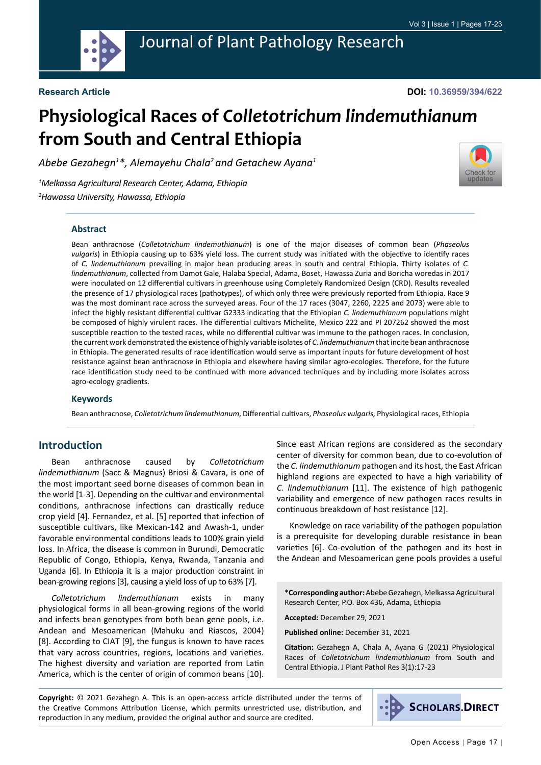

**DOI: 10.36959/394/622**

# **Physiological Races of** *Colletotrichum lindemuthianum*  **from South and Central Ethiopia**

*Abebe Gezahegn1 \*, Alemayehu Chala2 and Getachew Ayana1*

*1 Melkassa Agricultural Research Center, Adama, Ethiopia 2 Hawassa University, Hawassa, Ethiopia*



#### **Abstract**

Bean anthracnose (*Colletotrichum lindemuthianum*) is one of the major diseases of common bean (*Phaseolus vulgaris*) in Ethiopia causing up to 63% yield loss. The current study was initiated with the objective to identify races of *C. lindemuthianum* prevailing in major bean producing areas in south and central Ethiopia. Thirty isolates of *C. lindemuthianum*, collected from Damot Gale, Halaba Special, Adama, Boset, Hawassa Zuria and Boricha woredas in 2017 were inoculated on 12 differential cultivars in greenhouse using Completely Randomized Design (CRD). Results revealed the presence of 17 physiological races (pathotypes), of which only three were previously reported from Ethiopia. Race 9 was the most dominant race across the surveyed areas. Four of the 17 races (3047, 2260, 2225 and 2073) were able to infect the highly resistant differential cultivar G2333 indicating that the Ethiopian *C. lindemuthianum* populations might be composed of highly virulent races. The differential cultivars Michelite, Mexico 222 and PI 207262 showed the most susceptible reaction to the tested races, while no differential cultivar was immune to the pathogen races. In conclusion, the current work demonstrated the existence of highly variable isolates of *C. lindemuthianum* that incite bean anthracnose in Ethiopia. The generated results of race identification would serve as important inputs for future development of host resistance against bean anthracnose in Ethiopia and elsewhere having similar agro-ecologies. Therefore, for the future race identification study need to be continued with more advanced techniques and by including more isolates across agro-ecology gradients.

#### **Keywords**

Bean anthracnose, *Colletotrichum lindemuthianum*, Differential cultivars, *Phaseolus vulgaris,* Physiological races, Ethiopia

# **Introduction**

Bean anthracnose caused by *Colletotrichum lindemuthianum* (Sacc & Magnus) Briosi & Cavara, is one of the most important seed borne diseases of common bean in the world [1-3]. Depending on the cultivar and environmental conditions, anthracnose infections can drastically reduce crop yield [4]. Fernandez, et al. [5] reported that infection of susceptible cultivars, like Mexican-142 and Awash-1, under favorable environmental conditions leads to 100% grain yield loss. In Africa, the disease is common in Burundi, Democratic Republic of Congo, Ethiopia, Kenya, Rwanda, Tanzania and Uganda [6]. In Ethiopia it is a major production constraint in bean-growing regions [3], causing a yield loss of up to 63% [7].

*Colletotrichum lindemuthianum* exists in many physiological forms in all bean-growing regions of the world and infects bean genotypes from both bean gene pools, i.e. Andean and Mesoamerican (Mahuku and Riascos, 2004) [8]. According to CIAT [9], the fungus is known to have races that vary across countries, regions, locations and varieties. The highest diversity and variation are reported from Latin America, which is the center of origin of common beans [10]. Since east African regions are considered as the secondary center of diversity for common bean, due to co-evolution of the *C. lindemuthianum* pathogen and its host, the East African highland regions are expected to have a high variability of *C. lindemuthianum* [11]. The existence of high pathogenic variability and emergence of new pathogen races results in continuous breakdown of host resistance [12].

Knowledge on race variability of the pathogen population is a prerequisite for developing durable resistance in bean varieties [6]. Co-evolution of the pathogen and its host in the Andean and Mesoamerican gene pools provides a useful

**\*Corresponding author:** Abebe Gezahegn, Melkassa Agricultural Research Center, P.O. Box 436, Adama, Ethiopia

**Accepted:** December 29, 2021

**Published online:** December 31, 2021

**Citation:** Gezahegn A, Chala A, Ayana G (2021) Physiological Races of *Colletotrichum lindemuthianum* from South and Central Ethiopia. J Plant Pathol Res 3(1):17-23

**Copyright:** © 2021 Gezahegn A. This is an open-access article distributed under the terms of the Creative Commons Attribution License, which permits unrestricted use, distribution, and reproduction in any medium, provided the original author and source are credited.

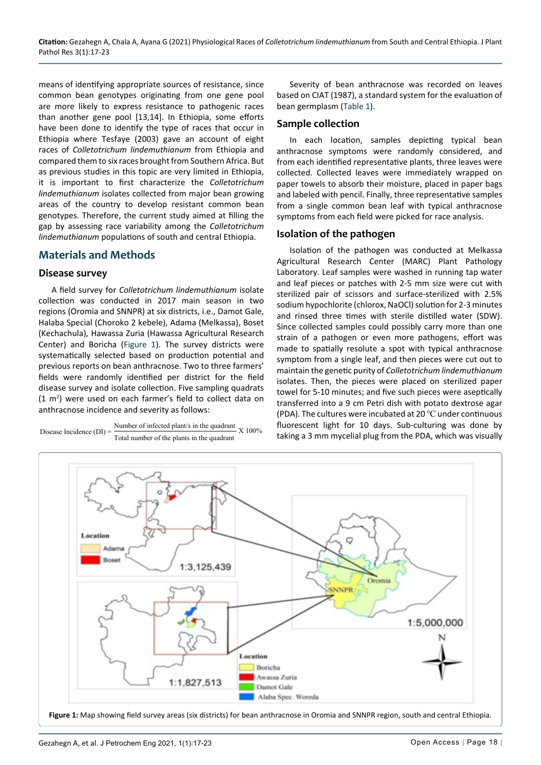means of identifying appropriate sources of resistance, since common bean genotypes originating from one gene pool are more likely to express resistance to pathogenic races than another gene pool [13,14]. In Ethiopia, some efforts have been done to identify the type of races that occur in Ethiopia where Tesfaye (2003) gave an account of eight races of *Colletotrichum lindemuthianum* from Ethiopia and compared them to six races brought from Southern Africa. But as previous studies in this topic are very limited in Ethiopia, it is important to first characterize the *Colletotrichum lindemuthianum* isolates collected from major bean growing areas of the country to develop resistant common bean genotypes. Therefore, the current study aimed at filling the gap by assessing race variability among the *Colletotrichum lindemuthianum* populations of south and central Ethiopia.

# **Materials and Methods**

# **Disease survey**

A field survey for *Colletotrichum lindemuthianum* isolate collection was conducted in 2017 main season in two regions (Oromia and SNNPR) at six districts, i.e., Damot Gale, Halaba Special (Choroko 2 kebele), Adama (Melkassa), Boset (Kechachula), Hawassa Zuria (Hawassa Agricultural Research Center) and Boricha [\(Figure 1](#page-1-0)). The survey districts were systematically selected based on production potential and previous reports on bean anthracnose. Two to three farmers' fields were randomly identified per district for the field disease survey and isolate collection. Five sampling quadrats  $(1 \text{ m}^2)$  were used on each farmer's field to collect data on anthracnose incidence and severity as follows:



Severity of bean anthracnose was recorded on leaves based on CIAT (1987), a standard system for the evaluation of bean germplasm ([Table 1](#page-2-0)).

### **Sample collection**

In each location, samples depicting typical bean anthracnose symptoms were randomly considered, and from each identified representative plants, three leaves were collected. Collected leaves were immediately wrapped on paper towels to absorb their moisture, placed in paper bags and labeled with pencil. Finally, three representative samples from a single common bean leaf with typical anthracnose symptoms from each field were picked for race analysis.

# **Isolation of the pathogen**

Isolation of the pathogen was conducted at Melkassa Agricultural Research Center (MARC) Plant Pathology Laboratory. Leaf samples were washed in running tap water and leaf pieces or patches with 2-5 mm size were cut with sterilized pair of scissors and surface-sterilized with 2.5% sodium hypochlorite (chlorox, NaOCl) solution for 2-3 minutes and rinsed three times with sterile distilled water (SDW). Since collected samples could possibly carry more than one strain of a pathogen or even more pathogens, effort was made to spatially resolute a spot with typical anthracnose symptom from a single leaf, and then pieces were cut out to maintain the genetic purity of *Colletotrichum lindemuthianum* isolates. Then, the pieces were placed on sterilized paper towel for 5-10 minutes; and five such pieces were aseptically transferred into a 9 cm Petri dish with potato dextrose agar (PDA). The cultures were incubated at 20 ℃ under continuous fluorescent light for 10 days. Sub-culturing was done by taking a 3 mm mycelial plug from the PDA, which was visually

<span id="page-1-0"></span>

**Figure 1:** Map showing field survey areas (six districts) for bean anthracnose in Oromia and SNNPR region, south and central Ethiopia.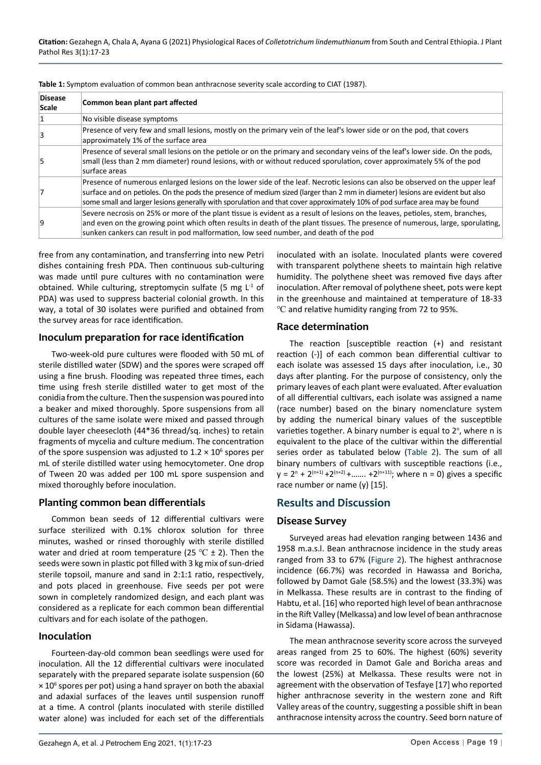| <b>Disease</b><br>Scale | Common bean plant part affected                                                                                                                                                                                                                                                                                                                                                             |
|-------------------------|---------------------------------------------------------------------------------------------------------------------------------------------------------------------------------------------------------------------------------------------------------------------------------------------------------------------------------------------------------------------------------------------|
| 1                       | No visible disease symptoms                                                                                                                                                                                                                                                                                                                                                                 |
| 3                       | Presence of very few and small lesions, mostly on the primary vein of the leaf's lower side or on the pod, that covers<br>approximately 1% of the surface area                                                                                                                                                                                                                              |
| '5                      | Presence of several small lesions on the petiole or on the primary and secondary veins of the leaf's lower side. On the pods,<br>small (less than 2 mm diameter) round lesions, with or without reduced sporulation, cover approximately 5% of the pod<br>surface areas                                                                                                                     |
| 7                       | Presence of numerous enlarged lesions on the lower side of the leaf. Necrotic lesions can also be observed on the upper leaf<br>surface and on petioles. On the pods the presence of medium sized (larger than 2 mm in diameter) lesions are evident but also<br>some small and larger lesions generally with sporulation and that cover approximately 10% of pod surface area may be found |
| ۱q                      | Severe necrosis on 25% or more of the plant tissue is evident as a result of lesions on the leaves, petioles, stem, branches,<br>and even on the growing point which often results in death of the plant tissues. The presence of numerous, large, sporulating,<br>sunken cankers can result in pod malformation, low seed number, and death of the pod                                     |

<span id="page-2-0"></span>**Table 1:** Symptom evaluation of common bean anthracnose severity scale according to CIAT (1987).

free from any contamination, and transferring into new Petri dishes containing fresh PDA. Then continuous sub-culturing was made until pure cultures with no contamination were obtained. While culturing, streptomycin sulfate (5 mg  $L^1$  of PDA) was used to suppress bacterial colonial growth. In this way, a total of 30 isolates were purified and obtained from the survey areas for race identification.

#### **Inoculum preparation for race identification**

Two-week-old pure cultures were flooded with 50 mL of sterile distilled water (SDW) and the spores were scraped off using a fine brush. Flooding was repeated three times, each time using fresh sterile distilled water to get most of the conidia from the culture. Then the suspension was poured into a beaker and mixed thoroughly. Spore suspensions from all cultures of the same isolate were mixed and passed through double layer cheesecloth (44\*36 thread/sq. inches) to retain fragments of mycelia and culture medium. The concentration of the spore suspension was adjusted to  $1.2 \times 10^6$  spores per mL of sterile distilled water using hemocytometer. One drop of Tween 20 was added per 100 mL spore suspension and mixed thoroughly before inoculation.

# **Planting common bean differentials**

Common bean seeds of 12 differential cultivars were surface sterilized with 0.1% chlorox solution for three minutes, washed or rinsed thoroughly with sterile distilled water and dried at room temperature (25 °C  $\pm$  2). Then the seeds were sown in plastic pot filled with 3 kg mix of sun-dried sterile topsoil, manure and sand in 2:1:1 ratio, respectively, and pots placed in greenhouse. Five seeds per pot were sown in completely randomized design, and each plant was considered as a replicate for each common bean differential cultivars and for each isolate of the pathogen.

#### **Inoculation**

Fourteen-day-old common bean seedlings were used for inoculation. All the 12 differential cultivars were inoculated separately with the prepared separate isolate suspension (60  $\times$  10 $\textdegree$  spores per pot) using a hand sprayer on both the abaxial and adaxial surfaces of the leaves until suspension runoff at a time. A control (plants inoculated with sterile distilled water alone) was included for each set of the differentials

inoculated with an isolate. Inoculated plants were covered with transparent polythene sheets to maintain high relative humidity. The polythene sheet was removed five days after inoculation. After removal of polythene sheet, pots were kept in the greenhouse and maintained at temperature of 18-33 ℃ and relative humidity ranging from 72 to 95%.

# **Race determination**

The reaction [susceptible reaction (+) and resistant reaction (-)] of each common bean differential cultivar to each isolate was assessed 15 days after inoculation, i.e., 30 days after planting. For the purpose of consistency, only the primary leaves of each plant were evaluated. After evaluation of all differential cultivars, each isolate was assigned a name (race number) based on the binary nomenclature system by adding the numerical binary values of the susceptible varieties together. A binary number is equal to 2<sup>n</sup>, where n is equivalent to the place of the cultivar within the differential series order as tabulated below [\(Table 2\)](#page-3-0). The sum of all binary numbers of cultivars with susceptible reactions (i.e.,  $y = 2^{n} + 2^{(n+1)} + 2^{(n+2)} + \dots + 2^{(n+11)}$ ; where n = 0) gives a specific race number or name (y) [15].

# **Results and Discussion**

# **Disease Survey**

Surveyed areas had elevation ranging between 1436 and 1958 m.a.s.l. Bean anthracnose incidence in the study areas ranged from 33 to 67% [\(Figure 2](#page-3-1)). The highest anthracnose incidence (66.7%) was recorded in Hawassa and Boricha, followed by Damot Gale (58.5%) and the lowest (33.3%) was in Melkassa. These results are in contrast to the finding of Habtu, et al. [16] who reported high level of bean anthracnose in the Rift Valley (Melkassa) and low level of bean anthracnose in Sidama (Hawassa).

The mean anthracnose severity score across the surveyed areas ranged from 25 to 60%. The highest (60%) severity score was recorded in Damot Gale and Boricha areas and the lowest (25%) at Melkassa. These results were not in agreement with the observation of Tesfaye [17] who reported higher anthracnose severity in the western zone and Rift Valley areas of the country, suggesting a possible shift in bean anthracnose intensity across the country. Seed born nature of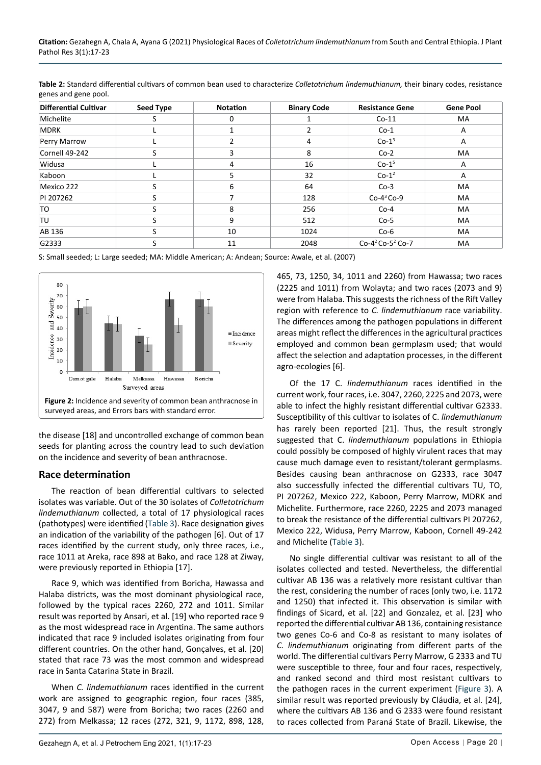<span id="page-3-0"></span>

| Table 2: Standard differential cultivars of common bean used to characterize Colletotrichum lindemuthianum, their binary codes, resistance |  |
|--------------------------------------------------------------------------------------------------------------------------------------------|--|
| genes and gene pool.                                                                                                                       |  |

| <b>Differential Cultivar</b> | <b>Seed Type</b> | <b>Notation</b>      | <b>Binary Code</b> | <b>Resistance Gene</b>                   | <b>Gene Pool</b> |  |  |
|------------------------------|------------------|----------------------|--------------------|------------------------------------------|------------------|--|--|
| Michelite                    | S                | 0                    |                    | $Co-11$                                  | <b>MA</b>        |  |  |
| MDRK                         |                  |                      |                    | $Co-1$                                   | A                |  |  |
| Perry Marrow                 |                  | 4                    |                    | $Co-1^3$                                 | A                |  |  |
| Cornell 49-242               | S                | 3                    | 8                  | $Co-2$                                   | MA               |  |  |
| Widusa                       |                  | 4                    | 16<br>$Co-1^5$     |                                          | A                |  |  |
| Kaboon                       |                  | 5.                   | 32                 | $Co-1^2$                                 | A                |  |  |
| Mexico 222                   |                  | 6                    | 64                 | $Co-3$                                   | MA               |  |  |
| PI 207262                    |                  | $Co-4^3 Co-9$<br>128 |                    |                                          | MA               |  |  |
| TO.                          |                  | 8                    | 256                | $Co-4$                                   | MA               |  |  |
| <b>TU</b>                    |                  | 9                    | 512                | $Co-5$                                   | MA               |  |  |
| AB 136                       |                  | 10                   | 1024               | $Co-6$                                   | MA               |  |  |
| G2333                        |                  | 11                   | 2048               | Co-4 <sup>2</sup> Co-5 <sup>2</sup> Co-7 | MA               |  |  |

S: Small seeded; L: Large seeded; MA: Middle American; A: Andean; Source: Awale, et al. (2007)

<span id="page-3-1"></span>

the disease [18] and uncontrolled exchange of common bean seeds for planting across the country lead to such deviation on the incidence and severity of bean anthracnose.

# **Race determination**

The reaction of bean differential cultivars to selected isolates was variable. Out of the 30 isolates of *Colletotrichum lindemuthianum* collected, a total of 17 physiological races (pathotypes) were identified ([Table 3](#page-4-0)). Race designation gives an indication of the variability of the pathogen [6]. Out of 17 races identified by the current study, only three races, i.e., race 1011 at Areka, race 898 at Bako, and race 128 at Ziway, were previously reported in Ethiopia [17].

Race 9, which was identified from Boricha, Hawassa and Halaba districts, was the most dominant physiological race, followed by the typical races 2260, 272 and 1011. Similar result was reported by Ansari, et al. [19] who reported race 9 as the most widespread race in Argentina. The same authors indicated that race 9 included isolates originating from four different countries. On the other hand, Gonçalves, et al. [20] stated that race 73 was the most common and widespread race in Santa Catarina State in Brazil.

When *C. lindemuthianum* races identified in the current work are assigned to geographic region, four races (385, 3047, 9 and 587) were from Boricha; two races (2260 and 272) from Melkassa; 12 races (272, 321, 9, 1172, 898, 128, 465, 73, 1250, 34, 1011 and 2260) from Hawassa; two races (2225 and 1011) from Wolayta; and two races (2073 and 9) were from Halaba. This suggests the richness of the Rift Valley region with reference to *C. lindemuthianum* race variability. The differences among the pathogen populations in different areas might reflect the differences in the agricultural practices employed and common bean germplasm used; that would affect the selection and adaptation processes, in the different agro-ecologies [6].

Of the 17 C. *lindemuthianum* races identified in the current work, four races, i.e. 3047, 2260, 2225 and 2073, were able to infect the highly resistant differential cultivar G2333. Susceptibility of this cultivar to isolates of C. *lindemuthianum* has rarely been reported [21]. Thus, the result strongly suggested that C. *lindemuthianum* populations in Ethiopia could possibly be composed of highly virulent races that may cause much damage even to resistant/tolerant germplasms. Besides causing bean anthracnose on G2333, race 3047 also successfully infected the differential cultivars TU, TO, PI 207262, Mexico 222, Kaboon, Perry Marrow, MDRK and Michelite. Furthermore, race 2260, 2225 and 2073 managed to break the resistance of the differential cultivars PI 207262, Mexico 222, Widusa, Perry Marrow, Kaboon, Cornell 49-242 and Michelite ([Table 3](#page-4-0)).

No single differential cultivar was resistant to all of the isolates collected and tested. Nevertheless, the differential cultivar AB 136 was a relatively more resistant cultivar than the rest, considering the number of races (only two, i.e. 1172 and 1250) that infected it. This observation is similar with findings of Sicard, et al. [22] and Gonzalez, et al. [23] who reported the differential cultivar AB 136, containing resistance two genes Co-6 and Co-8 as resistant to many isolates of *C. lindemuthianum* originating from different parts of the world. The differential cultivars Perry Marrow, G 2333 and TU were susceptible to three, four and four races, respectively, and ranked second and third most resistant cultivars to the pathogen races in the current experiment [\(Figure 3\)](#page-5-0). A similar result was reported previously by Cláudia, et al. [24], where the cultivars AB 136 and G 2333 were found resistant to races collected from Paraná State of Brazil. Likewise, the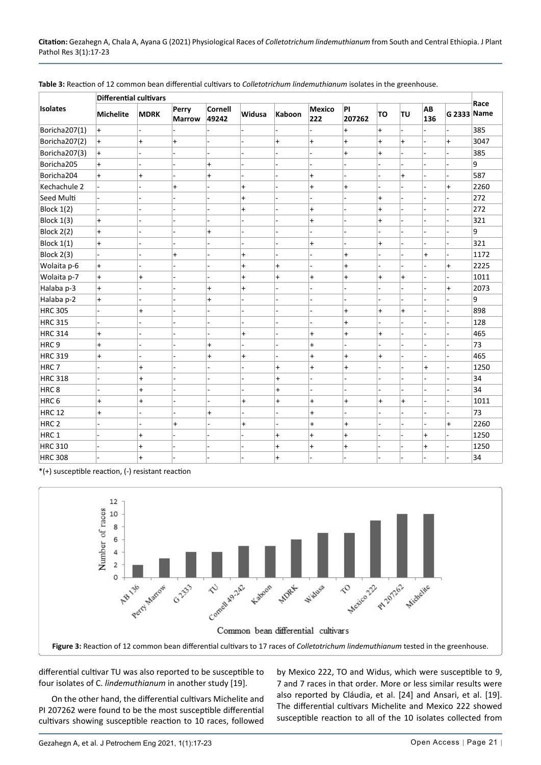|                   | <b>Differential cultivars</b> |             |                        |                         |               |           |                      |              |           |                |                          |             |      |
|-------------------|-------------------------------|-------------|------------------------|-------------------------|---------------|-----------|----------------------|--------------|-----------|----------------|--------------------------|-------------|------|
| <b>Isolates</b>   | <b>Michelite</b>              | <b>MDRK</b> | Perry<br><b>Marrow</b> | <b>Cornell</b><br>49242 | <b>Widusa</b> | Kaboon    | <b>Mexico</b><br>222 | PI<br>207262 | TO        | TU             | AB<br>136                | G 2333 Name | Race |
| Boricha207(1)     | $\ddot{}$                     |             |                        |                         |               |           |                      | $\ddot{}$    | $\ddot{}$ |                |                          |             | 385  |
| Boricha207(2)     | $\ddot{}$                     | $\ddot{}$   | $\ddot{}$              |                         |               | $\ddot{}$ | $\ddot{}$            | $\ddot{}$    | $\ddot{}$ | $\ddot{}$      | ä,                       | $\ddot{}$   | 3047 |
| Boricha207(3)     | $\ddot{}$                     |             |                        |                         |               |           |                      | $\ddot{}$    | $\ddot{}$ |                | L.                       |             | 385  |
| Boricha205        | $\ddot{}$                     |             |                        | $\ddot{}$               |               |           |                      |              |           |                |                          |             | 9    |
| Boricha204        | $\ddot{}$                     | $\ddot{}$   |                        | $\ddot{}$               |               |           | $\ddot{}$            |              |           | $+$            | L.                       |             | 587  |
| Kechachule 2      |                               |             | $\ddot{}$              |                         | $\ddot{}$     |           | $\ddot{}$            | $\ddot{}$    |           |                |                          | $\ddot{}$   | 2260 |
| Seed Multi        |                               |             |                        |                         | $\ddot{}$     |           |                      |              | $\ddot{}$ |                |                          |             | 272  |
| <b>Block 1(2)</b> |                               |             |                        |                         | $\ddot{}$     |           | $\ddot{}$            |              | $\ddot{}$ |                |                          |             | 272  |
| Block 1(3)        | $\ddot{}$                     |             |                        |                         |               |           | $\ddot{}$            |              | $\ddot{}$ |                | L.                       |             | 321  |
| Block 2(2)        | $\ddot{}$                     |             |                        | $\ddot{}$               |               |           |                      |              |           |                | ÷                        |             | 9    |
| Block $1(1)$      | $\ddot{}$                     |             |                        |                         |               |           | $\ddot{}$            |              | $\ddot{}$ |                |                          |             | 321  |
| Block 2(3)        |                               |             | $\ddot{}$              |                         | $\ddot{}$     |           |                      | $\ddot{}$    |           |                | $\ddot{}$                |             | 1172 |
| Wolaita p-6       | $\ddot{}$                     |             |                        |                         | $\ddot{}$     | $\ddot{}$ |                      | $\ddot{}$    |           |                |                          | $\ddot{}$   | 2225 |
| Wolaita p-7       | $\ddot{}$                     | $\ddot{}$   |                        |                         | $\ddot{}$     | $\ddot{}$ | $\ddot{}$            | $\ddot{}$    | $\ddot{}$ | $\ddot{}$      | L.                       |             | 1011 |
| Halaba p-3        | $\ddot{}$                     |             |                        | $\ddot{}$               | $\ddot{}$     |           |                      |              |           |                |                          | $\ddot{}$   | 2073 |
| Halaba p-2        | $\ddot{}$                     |             |                        | $\ddot{}$               |               |           |                      |              |           |                |                          |             | 9    |
| <b>HRC 305</b>    | ä,                            | $\ddot{}$   |                        |                         |               |           |                      | $\ddot{}$    | $\ddot{}$ | $\ddot{}$      | ä,                       |             | 898  |
| <b>HRC 315</b>    |                               |             |                        |                         |               |           |                      | $\ddot{}$    |           |                |                          |             | 128  |
| <b>HRC 314</b>    | $\ddot{}$                     |             |                        |                         | $\ddot{}$     |           | $\ddot{}$            | $\ddot{}$    | $\ddot{}$ |                | L.                       |             | 465  |
| HRC <sub>9</sub>  | $\ddot{}$                     |             |                        | $\ddot{}$               |               |           | $\ddot{}$            |              |           |                |                          |             | 73   |
| <b>HRC 319</b>    | $+$                           | -           |                        | $\ddot{}$               | $\ddot{}$     | L         | $\ddot{}$            | $\ddot{}$    | $\ddot{}$ |                | $\overline{\phantom{a}}$ |             | 465  |
| HRC <sub>7</sub>  |                               | $\ddot{}$   |                        |                         |               | $\ddot{}$ | $\ddot{}$            | $\ddot{}$    |           |                | $\ddot{}$                |             | 1250 |
| <b>HRC 318</b>    |                               | $\ddot{}$   |                        |                         |               | $\ddot{}$ |                      |              |           | $\overline{a}$ |                          |             | 34   |
| HRC8              | ٠                             | $\ddot{}$   |                        |                         |               | $\ddot{}$ |                      |              |           | ÷.             | ٠                        |             | 34   |
| HRC <sub>6</sub>  | $\ddot{}$                     | $\ddot{}$   | $\overline{a}$         | L,                      | $\ddot{}$     | $\ddot{}$ | $\ddot{}$            | $\ddot{}$    | $+$       | $\ddot{}$      | $\overline{a}$           | L,          | 1011 |
| <b>HRC 12</b>     | $\ddot{}$                     |             |                        | $\ddot{}$               |               |           | $\ddot{}$            |              |           |                |                          |             | 73   |
| HRC <sub>2</sub>  |                               | L           | $\ddot{}$              |                         | $\ddot{}$     | L         | $\ddot{}$            | $\ddot{}$    |           |                | ä,                       | $\ddot{}$   | 2260 |
| HRC 1             |                               | $\ddot{}$   |                        |                         |               | $\ddot{}$ | $\ddot{}$            | $\ddot{}$    |           |                | $\ddot{}$                |             | 1250 |
| <b>HRC 310</b>    |                               | $\ddot{}$   |                        |                         |               | $\ddot{}$ | $\ddot{}$            | $\ddot{}$    |           |                | $\ddot{}$                |             | 1250 |
| <b>HRC 308</b>    |                               | $\ddot{}$   |                        |                         |               | $\ddot{}$ |                      |              |           |                |                          |             | 34   |

<span id="page-4-0"></span>**Table 3:** Reaction of 12 common bean differential cultivars to *Colletotrichum lindemuthianum* isolates in the greenhouse.

\*(+) susceptible reaction, (-) resistant reaction



differential cultivar TU was also reported to be susceptible to four isolates of C. *lindemuthianum* in another study [19].

On the other hand, the differential cultivars Michelite and PI 207262 were found to be the most susceptible differential cultivars showing susceptible reaction to 10 races, followed by Mexico 222, TO and Widus, which were susceptible to 9, 7 and 7 races in that order. More or less similar results were also reported by Cláudia, et al. [24] and Ansari, et al. [19]. The differential cultivars Michelite and Mexico 222 showed susceptible reaction to all of the 10 isolates collected from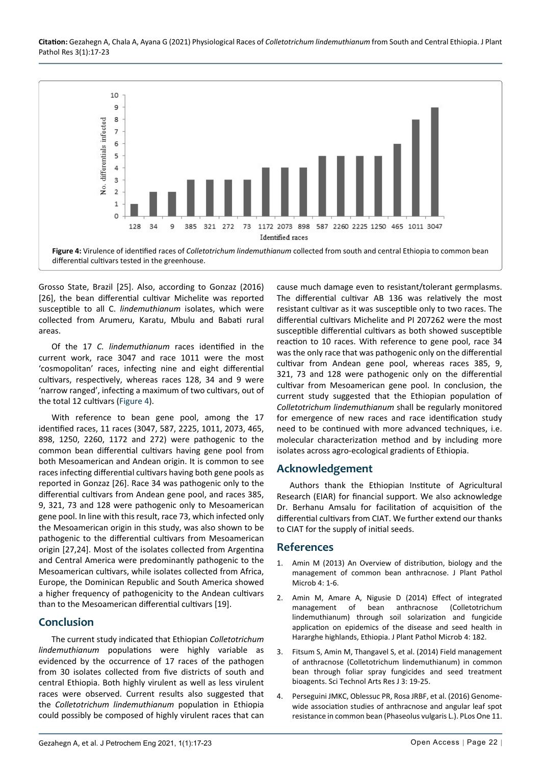**Citation:** Gezahegn A, Chala A, Ayana G (2021) Physiological Races of *Colletotrichum lindemuthianum* from South and Central Ethiopia. J Plant Pathol Res 3(1):17-23

<span id="page-5-0"></span>

Grosso State, Brazil [25]. Also, according to Gonzaz (2016) [26], the bean differential cultivar Michelite was reported susceptible to all C. *lindemuthianum* isolates, which were collected from Arumeru, Karatu, Mbulu and Babati rural areas.

Of the 17 *C. lindemuthianum* races identified in the current work, race 3047 and race 1011 were the most 'cosmopolitan' races, infecting nine and eight differential cultivars, respectively, whereas races 128, 34 and 9 were 'narrow ranged', infecting a maximum of two cultivars, out of the total 12 cultivars [\(Figure 4](#page-5-0)).

With reference to bean gene pool, among the 17 identified races, 11 races (3047, 587, 2225, 1011, 2073, 465, 898, 1250, 2260, 1172 and 272) were pathogenic to the common bean differential cultivars having gene pool from both Mesoamerican and Andean origin. It is common to see races infecting differential cultivars having both gene pools as reported in Gonzaz [26]. Race 34 was pathogenic only to the differential cultivars from Andean gene pool, and races 385, 9, 321, 73 and 128 were pathogenic only to Mesoamerican gene pool. In line with this result, race 73, which infected only the Mesoamerican origin in this study, was also shown to be pathogenic to the differential cultivars from Mesoamerican origin [27,24]. Most of the isolates collected from Argentina and Central America were predominantly pathogenic to the Mesoamerican cultivars, while isolates collected from Africa, Europe, the Dominican Republic and South America showed a higher frequency of pathogenicity to the Andean cultivars than to the Mesoamerican differential cultivars [19].

# **Conclusion**

The current study indicated that Ethiopian *Colletotrichum lindemuthianum* populations were highly variable as evidenced by the occurrence of 17 races of the pathogen from 30 isolates collected from five districts of south and central Ethiopia. Both highly virulent as well as less virulent races were observed. Current results also suggested that the *Colletotrichum lindemuthianum* population in Ethiopia could possibly be composed of highly virulent races that can

cause much damage even to resistant/tolerant germplasms. The differential cultivar AB 136 was relatively the most resistant cultivar as it was susceptible only to two races. The differential cultivars Michelite and PI 207262 were the most susceptible differential cultivars as both showed susceptible reaction to 10 races. With reference to gene pool, race 34 was the only race that was pathogenic only on the differential cultivar from Andean gene pool, whereas races 385, 9, 321, 73 and 128 were pathogenic only on the differential cultivar from Mesoamerican gene pool. In conclusion, the current study suggested that the Ethiopian population of *Colletotrichum lindemuthianum* shall be regularly monitored for emergence of new races and race identification study need to be continued with more advanced techniques, i.e. molecular characterization method and by including more isolates across agro-ecological gradients of Ethiopia.

# **Acknowledgement**

Authors thank the Ethiopian Institute of Agricultural Research (EIAR) for financial support. We also acknowledge Dr. Berhanu Amsalu for facilitation of acquisition of the differential cultivars from CIAT. We further extend our thanks to CIAT for the supply of initial seeds.

# **References**

- 1. [Amin M \(2013\) An Overview of distribution, biology and the](https://www.longdom.org/open-access/an-overview-of-distribution-biology-and-the-management-of-common-bean-anthracnose-2157-7471.1000193.pdf)  [management of common bean anthracnose. J Plant Pathol](https://www.longdom.org/open-access/an-overview-of-distribution-biology-and-the-management-of-common-bean-anthracnose-2157-7471.1000193.pdf)  [Microb 4: 1-6.](https://www.longdom.org/open-access/an-overview-of-distribution-biology-and-the-management-of-common-bean-anthracnose-2157-7471.1000193.pdf)
- 2. [Amin M, Amare A, Nigusie D \(2014\) Effect of integrated](https://www.longdom.org/open-access/effect-of-integrated-management-of-bean-anthracnose-colletotrichum-lindemuthianum-sacc-magn-2157-7471.1000182.pdf)  [management of bean anthracnose \(Colletotrichum](https://www.longdom.org/open-access/effect-of-integrated-management-of-bean-anthracnose-colletotrichum-lindemuthianum-sacc-magn-2157-7471.1000182.pdf)  [lindemuthianum\) through soil solarization and fungicide](https://www.longdom.org/open-access/effect-of-integrated-management-of-bean-anthracnose-colletotrichum-lindemuthianum-sacc-magn-2157-7471.1000182.pdf)  [application on epidemics of the disease and seed health in](https://www.longdom.org/open-access/effect-of-integrated-management-of-bean-anthracnose-colletotrichum-lindemuthianum-sacc-magn-2157-7471.1000182.pdf)  [Hararghe highlands, Ethiopia. J Plant Pathol Microb 4: 182.](https://www.longdom.org/open-access/effect-of-integrated-management-of-bean-anthracnose-colletotrichum-lindemuthianum-sacc-magn-2157-7471.1000182.pdf)
- 3. [Fitsum S, Amin M, Thangavel S, et al. \(2014\) Field management](https://www.proquest.com/docview/1555356414)  [of anthracnose \(Colletotrichum lindemuthianum\) in common](https://www.proquest.com/docview/1555356414)  [bean through foliar spray fungicides and seed treatment](https://www.proquest.com/docview/1555356414)  [bioagents. Sci Technol Arts Res J 3: 19-25.](https://www.proquest.com/docview/1555356414)
- 4. Perseguini JMKC, Oblessuc PR, Rosa JRBF, et al. (2016) Genomewide association studies of anthracnose and angular leaf spot resistance in common bean (Phaseolus vulgaris L.). PLos One 11.